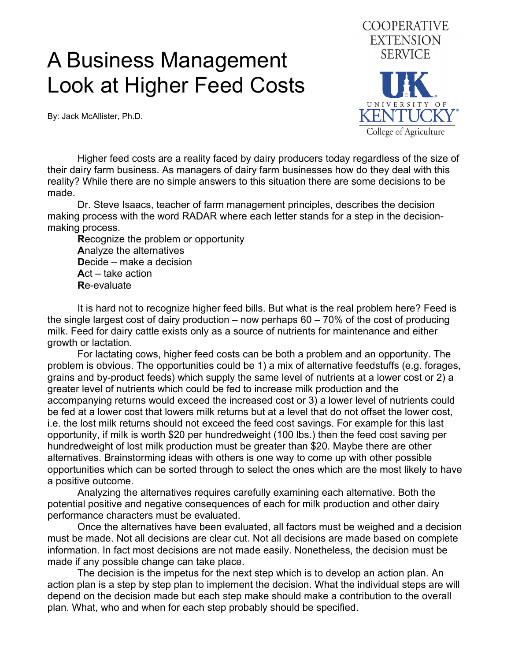## A Business Management Look at Higher Feed Costs

By: Jack McAllister, Ph.D.



 Higher feed costs are a reality faced by dairy producers today regardless of the size of their dairy farm business. As managers of dairy farm businesses how do they deal with this reality? While there are no simple answers to this situation there are some decisions to be made.

 Dr. Steve Isaacs, teacher of farm management principles, describes the decision making process with the word RADAR where each letter stands for a step in the decisionmaking process.

 **R**ecognize the problem or opportunity  **A**nalyze the alternatives  **D**ecide – make a decision  **A**ct – take action  **R**e-evaluate

 It is hard not to recognize higher feed bills. But what is the real problem here? Feed is the single largest cost of dairy production – now perhaps 60 – 70% of the cost of producing milk. Feed for dairy cattle exists only as a source of nutrients for maintenance and either growth or lactation.

 For lactating cows, higher feed costs can be both a problem and an opportunity. The problem is obvious. The opportunities could be 1) a mix of alternative feedstuffs (e.g. forages, grains and by-product feeds) which supply the same level of nutrients at a lower cost or 2) a greater level of nutrients which could be fed to increase milk production and the accompanying returns would exceed the increased cost or 3) a lower level of nutrients could be fed at a lower cost that lowers milk returns but at a level that do not offset the lower cost, i.e. the lost milk returns should not exceed the feed cost savings. For example for this last opportunity, if milk is worth \$20 per hundredweight (100 lbs.) then the feed cost saving per hundredweight of lost milk production must be greater than \$20. Maybe there are other alternatives. Brainstorming ideas with others is one way to come up with other possible opportunities which can be sorted through to select the ones which are the most likely to have a positive outcome.

 Analyzing the alternatives requires carefully examining each alternative. Both the potential positive and negative consequences of each for milk production and other dairy performance characters must be evaluated.

 Once the alternatives have been evaluated, all factors must be weighed and a decision must be made. Not all decisions are clear cut. Not all decisions are made based on complete information. In fact most decisions are not made easily. Nonetheless, the decision must be made if any possible change can take place.

 The decision is the impetus for the next step which is to develop an action plan. An action plan is a step by step plan to implement the decision. What the individual steps are will depend on the decision made but each step make should make a contribution to the overall plan. What, who and when for each step probably should be specified.